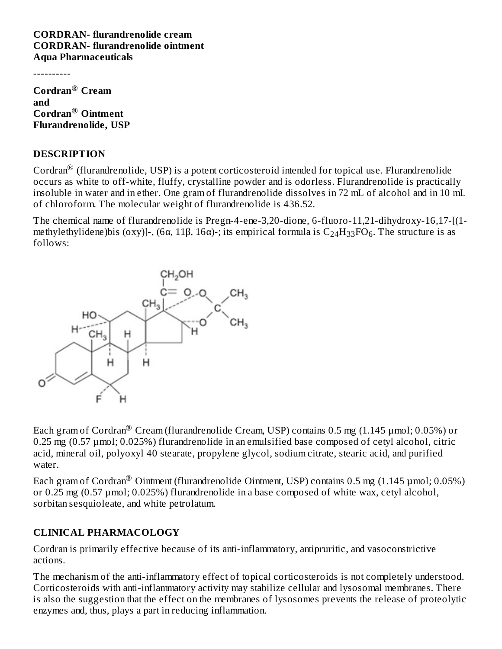#### **CORDRAN-** flurandrenolide cream **CORDRAN-** flurandrenolide ointment **Agua Pharmaceuticals**

----------

Cordran® Cream and Cordran® Ointment **Flurandrenolide, USP** 

### **DESCRIPTION**

Cordran<sup>®</sup> (flurandrenolide, USP) is a potent corticosteroid intended for topical use. Flurandrenolide occurs as white to off-white, fluffy, crystalline powder and is odorless. Flurandrenolide is practically insoluble in water and in ether. One gram of flurandrenolide dissolves in 72 mL of alcohol and in 10 mL of chloroform. The molecular weight of flurandrenolide is 436.52.

The chemical name of flurandrenolide is Pregn-4-ene-3,20-dione, 6-fluoro-11,21-dihydroxy-16,17-[(1methylethylidene)bis (oxy)]-, (6 $\alpha$ , 11 $\beta$ , 16 $\alpha$ )-; its empirical formula is C<sub>24</sub>H<sub>33</sub>FO<sub>6</sub>. The structure is as follows:



Each gram of Cordran<sup>®</sup> Cream (flurandrenolide Cream, USP) contains 0.5 mg  $(1.145 \mu \text{mol}; 0.05\%)$  or 0.25 mg (0.57 µmol; 0.025%) flurandrenolide in an emulsified base composed of cetyl alcohol, citric acid, mineral oil, polyoxyl 40 stearate, propylene glycol, sodium citrate, stearic acid, and purified water.

Each gram of Cordran<sup>®</sup> Ointment (flurandrenolide Ointment, USP) contains 0.5 mg (1.145  $\mu$ mol; 0.05%) or 0.25 mg (0.57 umol; 0.025%) flurandrenolide in a base composed of white wax, cetyl alcohol, sorbitan sesquioleate, and white petrolatum.

## **CLINICAL PHARMACOLOGY**

Cordran is primarily effective because of its anti-inflammatory, antipruritic, and vasoconstrictive actions.

The mechanism of the anti-inflammatory effect of topical corticosteroids is not completely understood. Corticosteroids with anti-inflammatory activity may stabilize cellular and lysosomal membranes. There is also the suggestion that the effect on the membranes of lysosomes prevents the release of proteolytic enzymes and, thus, plays a part in reducing inflammation.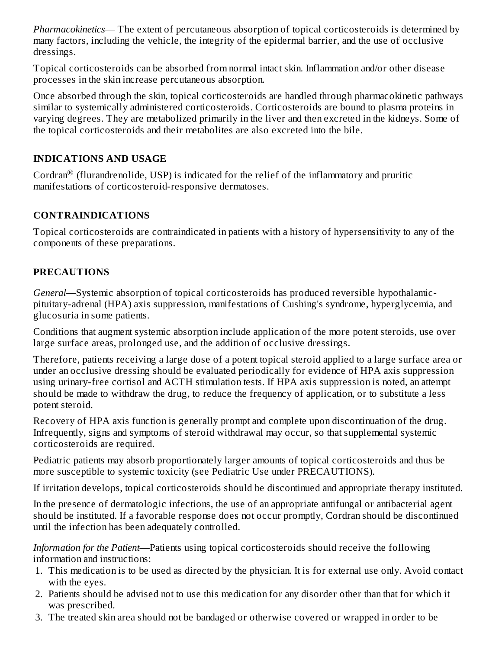*Pharmacokinetics*— The extent of percutaneous absorption of topical corticosteroids is determined by many factors, including the vehicle, the integrity of the epidermal barrier, and the use of occlusive dressings.

Topical corticosteroids can be absorbed from normal intact skin. Inflammation and/or other disease processes in the skin increase percutaneous absorption.

Once absorbed through the skin, topical corticosteroids are handled through pharmacokinetic pathways similar to systemically administered corticosteroids. Corticosteroids are bound to plasma proteins in varying degrees. They are metabolized primarily in the liver and then excreted in the kidneys. Some of the topical corticosteroids and their metabolites are also excreted into the bile.

# **INDICATIONS AND USAGE**

Cordran<sup>®</sup> (flurandrenolide, USP) is indicated for the relief of the inflammatory and pruritic manifestations of corticosteroid-responsive dermatoses.

# **CONTRAINDICATIONS**

Topical corticosteroids are contraindicated in patients with a history of hypersensitivity to any of the components of these preparations.

# **PRECAUTIONS**

General—Systemic absorption of topical corticosteroids has produced reversible hypothalamicpituitary-adrenal (HPA) axis suppression, manifestations of Cushing's syndrome, hyperglycemia, and glucosuria in some patients.

Conditions that augment systemic absorption include application of the more potent steroids, use over large surface areas, prolonged use, and the addition of occlusive dressings.

Therefore, patients receiving a large dose of a potent topical steroid applied to a large surface area or under an occlusive dressing should be evaluated periodically for evidence of HPA axis suppression using urinary-free cortisol and ACTH stimulation tests. If HPA axis suppression is noted, an attempt should be made to withdraw the drug, to reduce the frequency of application, or to substitute a less potent steroid.

Recovery of HPA axis function is generally prompt and complete upon discontinuation of the drug. Infrequently, signs and symptoms of steroid withdrawal may occur, so that supplemental systemic corticosteroids are required.

Pediatric patients may absorb proportionately larger amounts of topical corticosteroids and thus be more susceptible to systemic toxicity (see Pediatric Use under PRECAUTIONS).

If irritation develops, topical corticosteroids should be discontinued and appropriate therapy instituted.

In the presence of dermatologic infections, the use of an appropriate antifungal or antibacterial agent should be instituted. If a favorable response does not occur promptly, Cordran should be discontinued until the infection has been adequately controlled.

*Information for the Patient*—Patients using topical corticosteroids should receive the following information and instructions:

- 1. This medication is to be used as directed by the physician. It is for external use only. Avoid contact with the eyes.
- 2. Patients should be advised not to use this medication for any disorder other than that for which it was prescribed.
- 3. The treated skin area should not be bandaged or otherwise covered or wrapped in order to be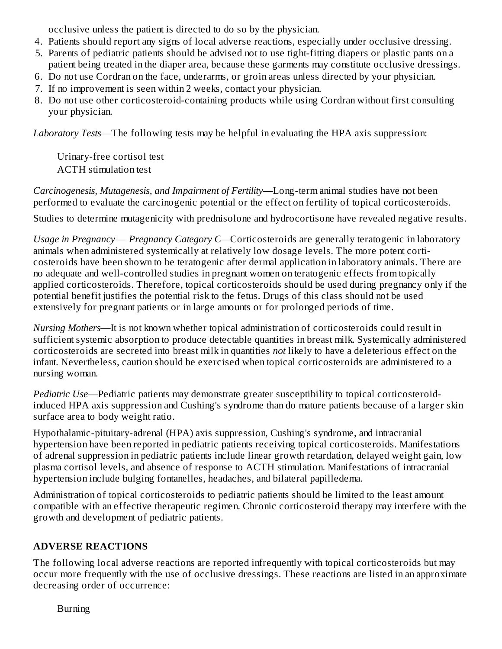occlusive unless the patient is directed to do so by the physician.

- 4. Patients should report any signs of local adverse reactions, especially under occlusive dressing.
- 5. Parents of pediatric patients should be advised not to use tight-fitting diapers or plastic pants on a patient being treated in the diaper area, because these garments may constitute occlusive dressings.
- 6. Do not use Cordran on the face, underarms, or groin areas unless directed by your physician.
- 7. If no improvement is seen within 2 weeks, contact your physician.
- 8. Do not use other corticosteroid-containing products while using Cordran without first consulting your physician.

*Laboratory Tests*—The following tests may be helpful in evaluating the HPA axis suppression:

Urinary-free cortisol test ACTH stimulation test

*Carcinogenesis, Mutagenesis, and Impairment of Fertility*—Long-term animal studies have not been performed to evaluate the carcinogenic potential or the effect on fertility of topical corticosteroids.

Studies to determine mutagenicity with prednisolone and hydrocortisone have revealed negative results.

*Usage in Pregnancy — Pregnancy Category C—Corticosteroids are generally teratogenic in laboratory* animals when administered systemically at relatively low dosage levels. The more potent corticosteroids have been shown to be teratogenic after dermal application in laboratory animals. There are no adequate and well-controlled studies in pregnant women on teratogenic effects from topically applied corticosteroids. Therefore, topical corticosteroids should be used during pregnancy only if the potential benefit justifies the potential risk to the fetus. Drugs of this class should not be used extensively for pregnant patients or in large amounts or for prolonged periods of time.

*Nursing Mothers*—It is not known whether topical administration of corticosteroids could result in sufficient systemic absorption to produce detectable quantities in breast milk. Systemically administered corticosteroids are secreted into breast milk in quantities not likely to have a deleterious effect on the infant. Nevertheless, caution should be exercised when topical corticosteroids are administered to a nursing woman.

*Pediatric Use*—Pediatric patients may demonstrate greater susceptibility to topical corticosteroidinduced HPA axis suppression and Cushing's syndrome than do mature patients because of a larger skin surface area to body weight ratio.

Hypothalamic-pituitary-adrenal (HPA) axis suppression, Cushing's syndrome, and intracranial hypertension have been reported in pediatric patients receiving topical corticosteroids. Manifestations of adrenal suppression in pediatric patients include linear growth retardation, delayed weight gain, low plasma cortisol levels, and absence of response to ACTH stimulation. Manifestations of intracranial hypertension include bulging fontanelles, headaches, and bilateral papilledema.

Administration of topical corticosteroids to pediatric patients should be limited to the least amount compatible with an effective therapeutic regimen. Chronic corticosteroid therapy may interfere with the growth and development of pediatric patients.

# **ADVERSE REACTIONS**

The following local adverse reactions are reported infrequently with topical corticosteroids but may occur more frequently with the use of occlusive dressings. These reactions are listed in an approximate decreasing order of occurrence:

Burning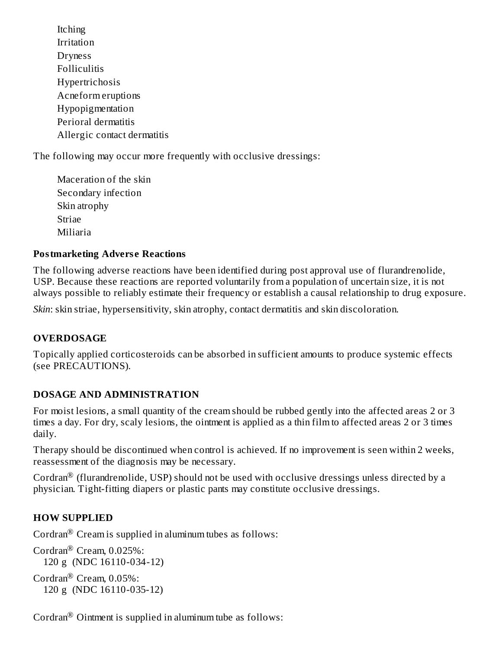Itching Irritation Dryness Folliculitis Hypertrichosis Acneform eruptions Hypopigmentation Perioral dermatitis Allergic contact dermatitis

The following may occur more frequently with occlusive dressings:

Maceration of the skin Secondary infection Skin atrophy Striae Miliaria

### **Postmarketing Adverse Reactions**

The following adverse reactions have been identified during post approval use of flurandrenolide, USP. Because these reactions are reported voluntarily from a population of uncertain size, it is not always possible to reliably estimate their frequency or establish a causal relationship to drug exposure.

*Skin*: skin striae, hypersensitivity, skin atrophy, contact dermatitis and skin discoloration.

## **OVERDOSAGE**

Topically applied corticosteroids can be absorbed in sufficient amounts to produce systemic effects (see PRECAUTIONS).

### **FOSAGE AND ADMINISTRATION**

For moist lesions, a small quantity of the cream should be rubbed gently into the affected areas 2 or 3 times a day. For dry, scaly lesions, the ointment is applied as a thin film to affected areas 2 or 3 times daily.

Therapy should be discontinued when control is achieved. If no improvement is seen within 2 weeks, reassessment of the diagnosis may be necessary.

Cordran<sup>®</sup> (flurandrenolide, USP) should not be used with occlusive dressings unless directed by a physician. Tight-fitting diapers or plastic pants may constitute occlusive dressings.

## **HOW SUPPLIED**

Cordran<sup>®</sup> Cream is supplied in aluminum tubes as follows:

```
Cordran\mathcal{D} Cream, 0.025%:
  120 g (NDC 16110-034-12)
Cordran\mathcal D Cream, 0.05%:
```

```
120 g (NDC 16110-035-12)
```
Cordran<sup>®</sup> Ointment is supplied in aluminum tube as follows: